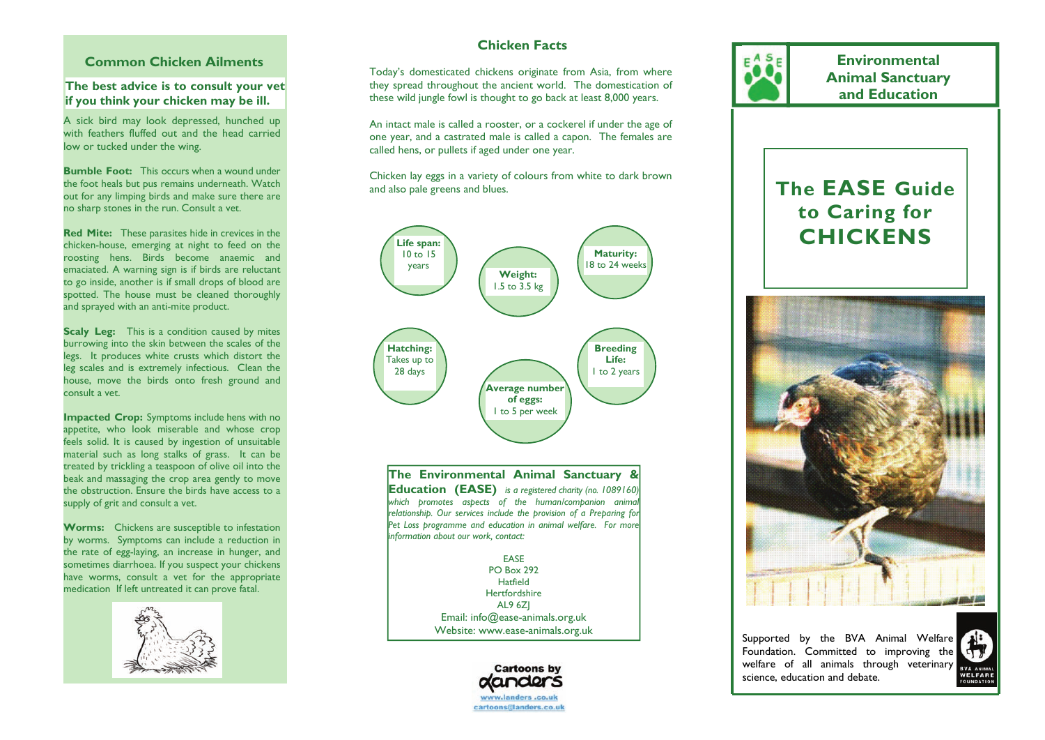#### **Common Chicken Ailments**

**The best advice is to consult your vet if you think your chicken may be ill.** 

A sick bird may look depressed, hunched up with feathers fluffed out and the head carried low or tucked under the wing.

**Bumble Foot:** This occurs when a wound under the foot heals but pus remains underneath. Watch out for any limping birds and make sure there are no sharp stones in the run. Consult a vet.

**Red Mite:** These parasites hide in crevices in the chicken-house, emerging at night to feed on the roosting hens. Birds become anaemic and emaciated. A warning sign is if birds are reluctant to go inside, another is if small drops of blood are spotted. The house must be cleaned thoroughly and sprayed with an anti-mite product.

**Scaly Leg:** This is a condition caused by mites burrowing into the skin between the scales of the legs. It produces white crusts which distort the leg scales and is extremely infectious. Clean the house, move the birds onto fresh ground and consult a vet.

**Impacted Crop:** Symptoms include hens with no appetite, who look miserable and whose crop feels solid. It is caused by ingestion of unsuitable material such as long stalks of grass. It can be treated by trickling a teaspoon of olive oil into the beak and massaging the crop area gently to move the obstruction. Ensure the birds have access to a supply of grit and consult a vet.

**Worms:** Chickens are susceptible to infestation by worms. Symptoms can include a reduction in the rate of egg-laying, an increase in hunger, and sometimes diarrhoea. If you suspect your chickens have worms, consult a vet for the appropriate medication If left untreated it can prove fatal.



# **Chicken Facts**

Today's domesticated chickens originate from Asia, from where they spread throughout the ancient world. The domestication of these wild jungle fowl is thought to go back at least 8,000 years.

An intact male is called a rooster, or a cockerel if under the age of one year, and a castrated male is called a capon. The females are called hens, or pullets if aged under one year.

Chicken lay eggs in a variety of colours from white to dark brown and also pale greens and blues.



**The Environmental Animal Sanctuary & Education (EASE)** *is a registered charity (no. 1089160) which promotes aspects of the human/companion animal relationship. Our services include the provision of a Preparing for*  Pet Loss programme and education in animal welfare. For more *information about our work, contact:* 

> EASE PO Box 292 Hatfield Hertfordshire AL9 6ZJ Email: info@ease-animals.org.uk Website: www.ease-animals.org.uk





**Environmental** 

Supported by the BVA Animal Welfare Foundation. Committed to improving the welfare of all animals through veterinary science, education and debate.